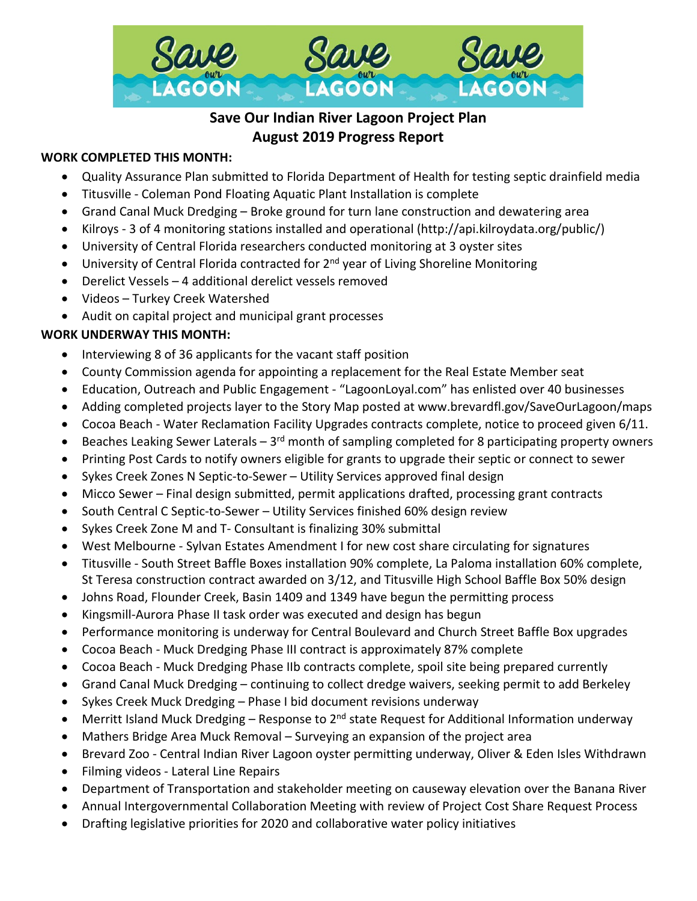

# **Save Our Indian River Lagoon Project Plan August 2019 Progress Report**

# **WORK COMPLETED THIS MONTH:**

- Quality Assurance Plan submitted to Florida Department of Health for testing septic drainfield media
- Titusville Coleman Pond Floating Aquatic Plant Installation is complete
- Grand Canal Muck Dredging Broke ground for turn lane construction and dewatering area
- Kilroys 3 of 4 monitoring stations installed and operational [\(http://api.kilroydata.org/public/\)](http://api.kilroydata.org/public/)
- University of Central Florida researchers conducted monitoring at 3 oyster sites
- University of Central Florida contracted for 2<sup>nd</sup> year of Living Shoreline Monitoring
- Derelict Vessels 4 additional derelict vessels removed
- Videos Turkey Creek Watershed
- Audit on capital project and municipal grant processes

## **WORK UNDERWAY THIS MONTH:**

- Interviewing 8 of 36 applicants for the vacant staff position
- County Commission agenda for appointing a replacement for the Real Estate Member seat
- Education, Outreach and Public Engagement "LagoonLoyal.com" has enlisted over 40 businesses
- Adding completed projects layer to the Story Map posted at www.brevardfl.gov/SaveOurLagoon/maps
- Cocoa Beach Water Reclamation Facility Upgrades contracts complete, notice to proceed given 6/11.
- Beaches Leaking Sewer Laterals  $3<sup>rd</sup>$  month of sampling completed for 8 participating property owners
- Printing Post Cards to notify owners eligible for grants to upgrade their septic or connect to sewer
- Sykes Creek Zones N Septic-to-Sewer Utility Services approved final design
- Micco Sewer Final design submitted, permit applications drafted, processing grant contracts
- South Central C Septic-to-Sewer Utility Services finished 60% design review
- Sykes Creek Zone M and T- Consultant is finalizing 30% submittal
- West Melbourne Sylvan Estates Amendment I for new cost share circulating for signatures
- Titusville South Street Baffle Boxes installation 90% complete, La Paloma installation 60% complete, St Teresa construction contract awarded on 3/12, and Titusville High School Baffle Box 50% design
- Johns Road, Flounder Creek, Basin 1409 and 1349 have begun the permitting process
- Kingsmill-Aurora Phase II task order was executed and design has begun
- Performance monitoring is underway for Central Boulevard and Church Street Baffle Box upgrades
- Cocoa Beach Muck Dredging Phase III contract is approximately 87% complete
- Cocoa Beach Muck Dredging Phase IIb contracts complete, spoil site being prepared currently
- Grand Canal Muck Dredging continuing to collect dredge waivers, seeking permit to add Berkeley
- Sykes Creek Muck Dredging Phase I bid document revisions underway
- Merritt Island Muck Dredging Response to  $2^{nd}$  state Request for Additional Information underway
- Mathers Bridge Area Muck Removal Surveying an expansion of the project area
- Brevard Zoo Central Indian River Lagoon oyster permitting underway, Oliver & Eden Isles Withdrawn
- Filming videos Lateral Line Repairs
- Department of Transportation and stakeholder meeting on causeway elevation over the Banana River
- Annual Intergovernmental Collaboration Meeting with review of Project Cost Share Request Process
- Drafting legislative priorities for 2020 and collaborative water policy initiatives